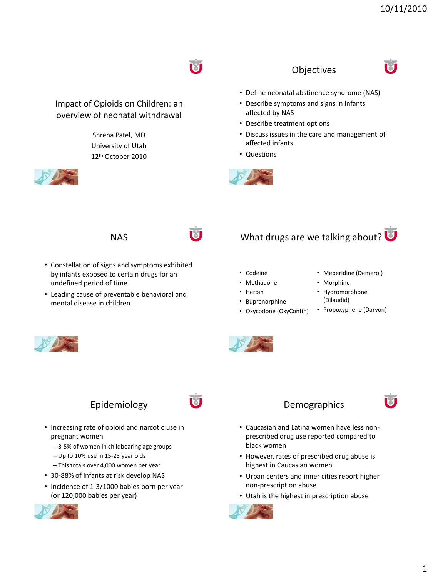#### **Objectives**



- Define neonatal abstinence syndrome (NAS)
- Describe symptoms and signs in infants affected by NAS
- Describe treatment options
- Discuss issues in the care and management of affected infants
- Questions



#### **NAS**

Impact of Opioids on Children: an overview of neonatal withdrawal

> Shrena Patel, MD University of Utah 12th October 2010

- Constellation of signs and symptoms exhibited by infants exposed to certain drugs for an undefined period of time
- Leading cause of preventable behavioral and mental disease in children

# What drugs are we talking about?

- Codeine
- Methadone
- Heroin
- Buprenorphine
- Oxycodone (OxyContin)
- Meperidine (Demerol)
- Morphine
- Hydromorphone (Dilaudid)
- Propoxyphene (Darvon)



## Epidemiology

- Increasing rate of opioid and narcotic use in pregnant women
	- 3-5% of women in childbearing age groups
	- Up to 10% use in 15-25 year olds
	- This totals over 4,000 women per year
- 30-88% of infants at risk develop NAS
- Incidence of 1-3/1000 babies born per year (or 120,000 babies per year)





- Caucasian and Latina women have less nonprescribed drug use reported compared to black women
- However, rates of prescribed drug abuse is highest in Caucasian women
- Urban centers and inner cities report higher non-prescription abuse
- Utah is the highest in prescription abuse

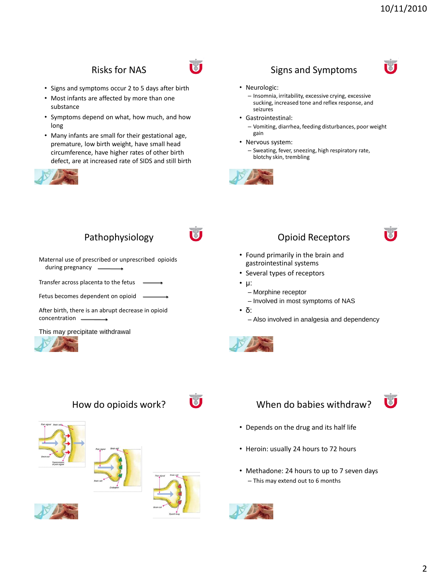#### Risks for NAS

- Signs and symptoms occur 2 to 5 days after birth
- Most infants are affected by more than one substance
- Symptoms depend on what, how much, and how long
- Many infants are small for their gestational age, premature, low birth weight, have small head circumference, have higher rates of other birth defect, are at increased rate of SIDS and still birth





#### Signs and Symptoms



#### • Neurologic:

– Insomnia, irritability, excessive crying, excessive sucking, increased tone and reflex response, and seizures

• Gastrointestinal:

– Vomiting, diarrhea, feeding disturbances, poor weight gain

• Nervous system:

– Sweating, fever, sneezing, high respiratory rate, blotchy skin, trembling



# Pathophysiology

Maternal use of prescribed or unprescribed opioids during pregnancy

Transfer across placenta to the fetus

Fetus becomes dependent on opioid

After birth, there is an abrupt decrease in opioid concentration

This may precipitate withdrawal



# Opioid Receptors



- Found primarily in the brain and gastrointestinal systems
- Several types of receptors
- μ:
	- Morphine receptor
	- Involved in most symptoms of NAS

• δ:

– Also involved in analgesia and dependency





## How do opioids work?



- Depends on the drug and its half life
- Heroin: usually 24 hours to 72 hours
- Methadone: 24 hours to up to 7 seven days – This may extend out to 6 months





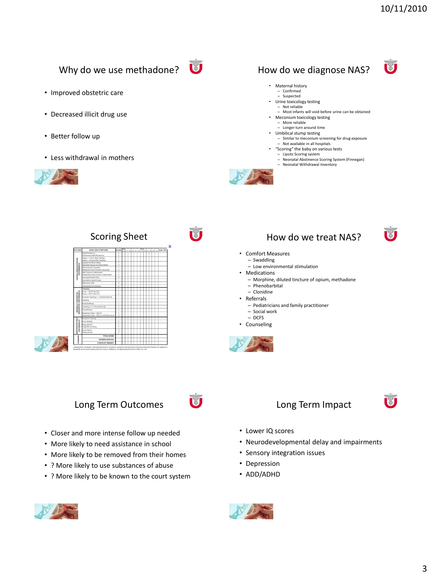Ū

Ū

## Why do we use methadone?

- Improved obstetric care
- Decreased illicit drug use
- Better follow up

**ZINTRAL NERVOUS SYSTE**<br>DISTURBANCES

**MSOMOTOR/**<br>ISTUIRBANCES METABOLIC

• Less withdrawal in mothers







# How do we diagnose NAS?



- Confirmed – Suspected
- Urine toxicology testing
	- Not reliable
- Most infants will void before urine can be obtained • Meconium toxicology testing
- More reliable
- Longer turn around time
- Umbilical stump testing
- Similar to meconium screening for drug exposure – Not available in all hospitals • "Scoring" the baby on various tests
- Lipsitz Scoring system
	-
	- Neonatal Abstinence Scoring System (Finnegan) Neonatal Withdrawal Inventory



# Scoring Sheet **How do we treat NAS?**

#### • Comfort Measures

- Swaddling – Low environmental stimulation
- Medications
	- Morphine, diluted tincture of opium, methadone
	- Phenobarbital
	- Clonidine
- Referrals
	- Pediatricians and family practitioner
	- Social work
	- DCFS
- Counseling



#### Long Term Outcomes

- Closer and more intense follow up needed
- More likely to need assistance in school
- More likely to be removed from their homes
- ? More likely to use substances of abuse
- ? More likely to be known to the court system





- Lower IQ scores
- Neurodevelopmental delay and impairments
- Sensory integration issues
- Depression
- ADD/ADHD





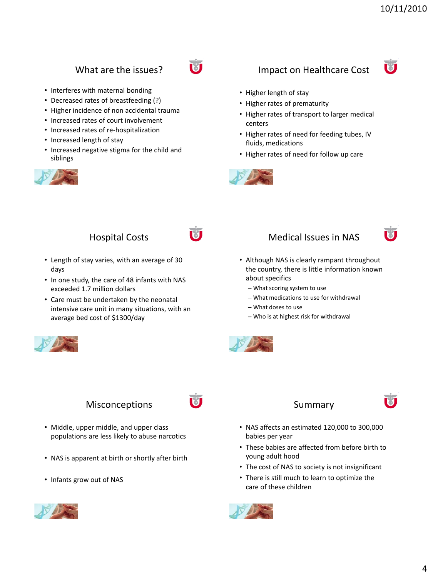#### What are the issues?

- Interferes with maternal bonding
- Decreased rates of breastfeeding (?)
- Higher incidence of non accidental trauma
- Increased rates of court involvement
- Increased rates of re-hospitalization
- Increased length of stay
- Increased negative stigma for the child and siblings



# M





- Higher length of stay
- Higher rates of prematurity
- Higher rates of transport to larger medical centers
- Higher rates of need for feeding tubes, IV fluids, medications
- Higher rates of need for follow up care



#### Hospital Costs

- Length of stay varies, with an average of 30 days
- In one study, the care of 48 infants with NAS exceeded 1.7 million dollars
- Care must be undertaken by the neonatal intensive care unit in many situations, with an average bed cost of \$1300/day



#### **Misconceptions**

- Middle, upper middle, and upper class populations are less likely to abuse narcotics
- NAS is apparent at birth or shortly after birth
- Infants grow out of NAS







- Although NAS is clearly rampant throughout the country, there is little information known about specifics
	- What scoring system to use
	- What medications to use for withdrawal
	- What doses to use
	- Who is at highest risk for withdrawal



#### Summary



- NAS affects an estimated 120,000 to 300,000 babies per year
- These babies are affected from before birth to young adult hood
- The cost of NAS to society is not insignificant
- There is still much to learn to optimize the care of these children